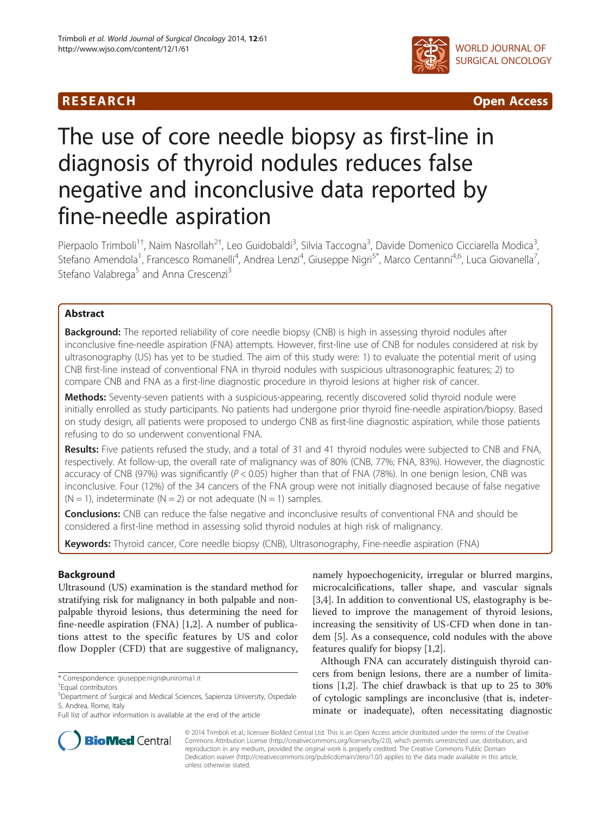

R E S EAR CH Open Access

# The use of core needle biopsy as first-line in diagnosis of thyroid nodules reduces false negative and inconclusive data reported by fine-needle aspiration

Pierpaolo Trimboli<sup>1†</sup>, Naim Nasrollah<sup>2†</sup>, Leo Guidobaldi<sup>3</sup>, Silvia Taccogna<sup>3</sup>, Davide Domenico Cicciarella Modica<sup>3</sup> , Stefano Amendola<sup>1</sup>, Francesco Romanelli<sup>4</sup>, Andrea Lenzi<sup>4</sup>, Giuseppe Nigri<sup>5\*</sup>, Marco Centanni<sup>4,6</sup>, Luca Giovanella<sup>7</sup> , Stefano Valabrega<sup>5</sup> and Anna Crescenzi<sup>3</sup>

# Abstract

**Background:** The reported reliability of core needle biopsy (CNB) is high in assessing thyroid nodules after inconclusive fine-needle aspiration (FNA) attempts. However, first-line use of CNB for nodules considered at risk by ultrasonography (US) has yet to be studied. The aim of this study were: 1) to evaluate the potential merit of using CNB first-line instead of conventional FNA in thyroid nodules with suspicious ultrasonographic features; 2) to compare CNB and FNA as a first-line diagnostic procedure in thyroid lesions at higher risk of cancer.

Methods: Seventy-seven patients with a suspicious-appearing, recently discovered solid thyroid nodule were initially enrolled as study participants. No patients had undergone prior thyroid fine-needle aspiration/biopsy. Based on study design, all patients were proposed to undergo CNB as first-line diagnostic aspiration, while those patients refusing to do so underwent conventional FNA.

Results: Five patients refused the study, and a total of 31 and 41 thyroid nodules were subjected to CNB and FNA, respectively. At follow-up, the overall rate of malignancy was of 80% (CNB, 77%; FNA, 83%). However, the diagnostic accuracy of CNB (97%) was significantly ( $P < 0.05$ ) higher than that of FNA (78%). In one benign lesion, CNB was inconclusive. Four (12%) of the 34 cancers of the FNA group were not initially diagnosed because of false negative  $(N = 1)$ , indeterminate  $(N = 2)$  or not adequate  $(N = 1)$  samples.

**Conclusions:** CNB can reduce the false negative and inconclusive results of conventional FNA and should be considered a first-line method in assessing solid thyroid nodules at high risk of malignancy.

Keywords: Thyroid cancer, Core needle biopsy (CNB), Ultrasonography, Fine-needle aspiration (FNA)

# Background

Ultrasound (US) examination is the standard method for stratifying risk for malignancy in both palpable and nonpalpable thyroid lesions, thus determining the need for fine-needle aspiration (FNA) [[1,2\]](#page-4-0). A number of publications attest to the specific features by US and color flow Doppler (CFD) that are suggestive of malignancy,

\* Correspondence: [giuseppe.nigri@uniroma1.it](mailto:giuseppe.nigri@uniroma1.it) †

namely hypoechogenicity, irregular or blurred margins, microcalcifications, taller shape, and vascular signals [[3,4\]](#page-4-0). In addition to conventional US, elastography is believed to improve the management of thyroid lesions, increasing the sensitivity of US-CFD when done in tandem [[5\]](#page-4-0). As a consequence, cold nodules with the above features qualify for biopsy [[1,2\]](#page-4-0).

Although FNA can accurately distinguish thyroid cancers from benign lesions, there are a number of limitations [[1,2\]](#page-4-0). The chief drawback is that up to 25 to 30% of cytologic samplings are inconclusive (that is, indeterminate or inadequate), often necessitating diagnostic



© 2014 Trimboli et al.; licensee BioMed Central Ltd. This is an Open Access article distributed under the terms of the Creative Commons Attribution License [\(http://creativecommons.org/licenses/by/2.0\)](http://creativecommons.org/licenses/by/2.0), which permits unrestricted use, distribution, and reproduction in any medium, provided the original work is properly credited. The Creative Commons Public Domain Dedication waiver [\(http://creativecommons.org/publicdomain/zero/1.0/](http://creativecommons.org/publicdomain/zero/1.0/)) applies to the data made available in this article, unless otherwise stated.

Equal contributors

<sup>5</sup> Department of Surgical and Medical Sciences, Sapienza University, Ospedale S. Andrea, Rome, Italy

Full list of author information is available at the end of the article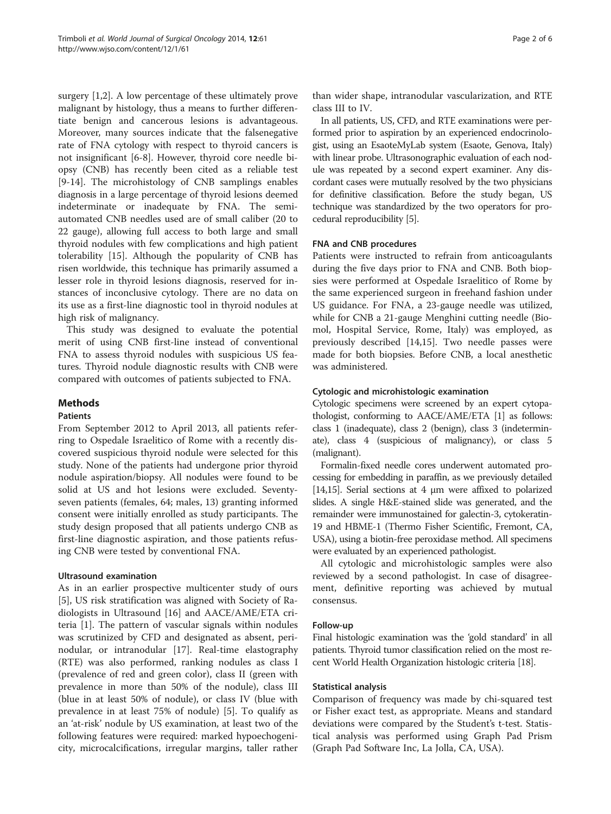surgery [[1,2\]](#page-4-0). A low percentage of these ultimately prove malignant by histology, thus a means to further differentiate benign and cancerous lesions is advantageous. Moreover, many sources indicate that the falsenegative rate of FNA cytology with respect to thyroid cancers is not insignificant [[6-8](#page-4-0)]. However, thyroid core needle biopsy (CNB) has recently been cited as a reliable test [[9-14](#page-4-0)]. The microhistology of CNB samplings enables diagnosis in a large percentage of thyroid lesions deemed indeterminate or inadequate by FNA. The semiautomated CNB needles used are of small caliber (20 to 22 gauge), allowing full access to both large and small thyroid nodules with few complications and high patient tolerability [[15\]](#page-4-0). Although the popularity of CNB has risen worldwide, this technique has primarily assumed a lesser role in thyroid lesions diagnosis, reserved for instances of inconclusive cytology. There are no data on its use as a first-line diagnostic tool in thyroid nodules at high risk of malignancy.

This study was designed to evaluate the potential merit of using CNB first-line instead of conventional FNA to assess thyroid nodules with suspicious US features. Thyroid nodule diagnostic results with CNB were compared with outcomes of patients subjected to FNA.

# Methods

# Patients

From September 2012 to April 2013, all patients referring to Ospedale Israelitico of Rome with a recently discovered suspicious thyroid nodule were selected for this study. None of the patients had undergone prior thyroid nodule aspiration/biopsy. All nodules were found to be solid at US and hot lesions were excluded. Seventyseven patients (females, 64; males, 13) granting informed consent were initially enrolled as study participants. The study design proposed that all patients undergo CNB as first-line diagnostic aspiration, and those patients refusing CNB were tested by conventional FNA.

# Ultrasound examination

As in an earlier prospective multicenter study of ours [[5\]](#page-4-0), US risk stratification was aligned with Society of Radiologists in Ultrasound [[16\]](#page-4-0) and AACE/AME/ETA criteria [[1\]](#page-4-0). The pattern of vascular signals within nodules was scrutinized by CFD and designated as absent, perinodular, or intranodular [\[17\]](#page-4-0). Real-time elastography (RTE) was also performed, ranking nodules as class I (prevalence of red and green color), class II (green with prevalence in more than 50% of the nodule), class III (blue in at least 50% of nodule), or class IV (blue with prevalence in at least 75% of nodule) [\[5\]](#page-4-0). To qualify as an 'at-risk' nodule by US examination, at least two of the following features were required: marked hypoechogenicity, microcalcifications, irregular margins, taller rather

than wider shape, intranodular vascularization, and RTE class III to IV.

In all patients, US, CFD, and RTE examinations were performed prior to aspiration by an experienced endocrinologist, using an EsaoteMyLab system (Esaote, Genova, Italy) with linear probe. Ultrasonographic evaluation of each nodule was repeated by a second expert examiner. Any discordant cases were mutually resolved by the two physicians for definitive classification. Before the study began, US technique was standardized by the two operators for procedural reproducibility [[5](#page-4-0)].

# FNA and CNB procedures

Patients were instructed to refrain from anticoagulants during the five days prior to FNA and CNB. Both biopsies were performed at Ospedale Israelitico of Rome by the same experienced surgeon in freehand fashion under US guidance. For FNA, a 23-gauge needle was utilized, while for CNB a 21-gauge Menghini cutting needle (Biomol, Hospital Service, Rome, Italy) was employed, as previously described [\[14,15](#page-4-0)]. Two needle passes were made for both biopsies. Before CNB, a local anesthetic was administered.

# Cytologic and microhistologic examination

Cytologic specimens were screened by an expert cytopathologist, conforming to AACE/AME/ETA [[1\]](#page-4-0) as follows: class 1 (inadequate), class 2 (benign), class 3 (indeterminate), class 4 (suspicious of malignancy), or class 5 (malignant).

Formalin-fixed needle cores underwent automated processing for embedding in paraffin, as we previously detailed [[14,15\]](#page-4-0). Serial sections at 4 μm were affixed to polarized slides. A single H&E-stained slide was generated, and the remainder were immunostained for galectin-3, cytokeratin-19 and HBME-1 (Thermo Fisher Scientific, Fremont, CA, USA), using a biotin-free peroxidase method. All specimens were evaluated by an experienced pathologist.

All cytologic and microhistologic samples were also reviewed by a second pathologist. In case of disagreement, definitive reporting was achieved by mutual consensus.

# Follow-up

Final histologic examination was the 'gold standard' in all patients. Thyroid tumor classification relied on the most recent World Health Organization histologic criteria [\[18](#page-4-0)].

# Statistical analysis

Comparison of frequency was made by chi-squared test or Fisher exact test, as appropriate. Means and standard deviations were compared by the Student's t-test. Statistical analysis was performed using Graph Pad Prism (Graph Pad Software Inc, La Jolla, CA, USA).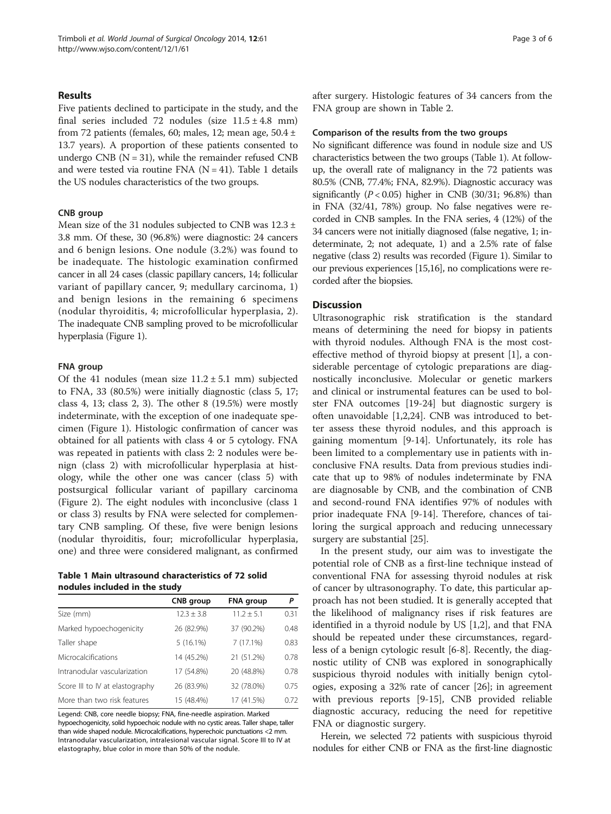#### Results

Five patients declined to participate in the study, and the final series included 72 nodules (size  $11.5 \pm 4.8$  mm) from 72 patients (females, 60; males, 12; mean age,  $50.4 \pm$ 13.7 years). A proportion of these patients consented to undergo CNB  $(N = 31)$ , while the remainder refused CNB and were tested via routine FNA  $(N = 41)$ . Table 1 details the US nodules characteristics of the two groups.

#### CNB group

Mean size of the 31 nodules subjected to CNB was 12.3 ± 3.8 mm. Of these, 30 (96.8%) were diagnostic: 24 cancers and 6 benign lesions. One nodule (3.2%) was found to be inadequate. The histologic examination confirmed cancer in all 24 cases (classic papillary cancers, 14; follicular variant of papillary cancer, 9; medullary carcinoma, 1) and benign lesions in the remaining 6 specimens (nodular thyroiditis, 4; microfollicular hyperplasia, 2). The inadequate CNB sampling proved to be microfollicular hyperplasia (Figure [1](#page-3-0)).

#### FNA group

Of the 41 nodules (mean size  $11.2 \pm 5.1$  mm) subjected to FNA, 33 (80.5%) were initially diagnostic (class 5, 17; class 4, 13; class 2, 3). The other 8 (19.5%) were mostly indeterminate, with the exception of one inadequate specimen (Figure [1\)](#page-3-0). Histologic confirmation of cancer was obtained for all patients with class 4 or 5 cytology. FNA was repeated in patients with class 2: 2 nodules were benign (class 2) with microfollicular hyperplasia at histology, while the other one was cancer (class 5) with postsurgical follicular variant of papillary carcinoma (Figure [2](#page-3-0)). The eight nodules with inconclusive (class 1 or class 3) results by FNA were selected for complementary CNB sampling. Of these, five were benign lesions (nodular thyroiditis, four; microfollicular hyperplasia, one) and three were considered malignant, as confirmed

Table 1 Main ultrasound characteristics of 72 solid nodules included in the study

|                                 | CNB group      | <b>FNA</b> group | Ρ    |
|---------------------------------|----------------|------------------|------|
| Size (mm)                       | $12.3 \pm 3.8$ | $11.2 + 5.1$     | 0.31 |
| Marked hypoechogenicity         | 26 (82.9%)     | 37 (90.2%)       | 0.48 |
| Taller shape                    | $5(16.1\%)$    | 7(17.1%)         | 0.83 |
| <b>Microcalcifications</b>      | 14 (45.2%)     | 21 (51.2%)       | 0.78 |
| Intranodular vascularization    | 17 (54.8%)     | 20 (48.8%)       | 0.78 |
| Score III to IV at elastography | 26 (83.9%)     | 32 (78.0%)       | 0.75 |
| More than two risk features     | 15 (48.4%)     | 17 (41.5%)       | 0.72 |

Legend: CNB, core needle biopsy; FNA, fine-needle aspiration. Marked hypoechogenicity, solid hypoechoic nodule with no cystic areas. Taller shape, taller than wide shaped nodule. Microcalcifications, hyperechoic punctuations <2 mm. Intranodular vascularization, intralesional vascular signal. Score III to IV at elastography, blue color in more than 50% of the nodule.

after surgery. Histologic features of 34 cancers from the FNA group are shown in Table [2.](#page-3-0)

#### Comparison of the results from the two groups

No significant difference was found in nodule size and US characteristics between the two groups (Table 1). At followup, the overall rate of malignancy in the 72 patients was 80.5% (CNB, 77.4%; FNA, 82.9%). Diagnostic accuracy was significantly  $(P < 0.05)$  higher in CNB  $(30/31; 96.8%)$  than in FNA (32/41, 78%) group. No false negatives were recorded in CNB samples. In the FNA series, 4 (12%) of the 34 cancers were not initially diagnosed (false negative, 1; indeterminate, 2; not adequate, 1) and a 2.5% rate of false negative (class 2) results was recorded (Figure [1](#page-3-0)). Similar to our previous experiences [[15,16\]](#page-4-0), no complications were recorded after the biopsies.

### **Discussion**

Ultrasonographic risk stratification is the standard means of determining the need for biopsy in patients with thyroid nodules. Although FNA is the most costeffective method of thyroid biopsy at present [[1](#page-4-0)], a considerable percentage of cytologic preparations are diagnostically inconclusive. Molecular or genetic markers and clinical or instrumental features can be used to bolster FNA outcomes [[19](#page-4-0)[-24\]](#page-5-0) but diagnostic surgery is often unavoidable [[1,2,](#page-4-0)[24\]](#page-5-0). CNB was introduced to better assess these thyroid nodules, and this approach is gaining momentum [[9-14](#page-4-0)]. Unfortunately, its role has been limited to a complementary use in patients with inconclusive FNA results. Data from previous studies indicate that up to 98% of nodules indeterminate by FNA are diagnosable by CNB, and the combination of CNB and second-round FNA identifies 97% of nodules with prior inadequate FNA [[9-14\]](#page-4-0). Therefore, chances of tailoring the surgical approach and reducing unnecessary surgery are substantial [[25\]](#page-5-0).

In the present study, our aim was to investigate the potential role of CNB as a first-line technique instead of conventional FNA for assessing thyroid nodules at risk of cancer by ultrasonography. To date, this particular approach has not been studied. It is generally accepted that the likelihood of malignancy rises if risk features are identified in a thyroid nodule by US [[1,2\]](#page-4-0), and that FNA should be repeated under these circumstances, regardless of a benign cytologic result [\[6](#page-4-0)-[8\]](#page-4-0). Recently, the diagnostic utility of CNB was explored in sonographically suspicious thyroid nodules with initially benign cytologies, exposing a 32% rate of cancer [\[26\]](#page-5-0); in agreement with previous reports [[9-15\]](#page-4-0), CNB provided reliable diagnostic accuracy, reducing the need for repetitive FNA or diagnostic surgery.

Herein, we selected 72 patients with suspicious thyroid nodules for either CNB or FNA as the first-line diagnostic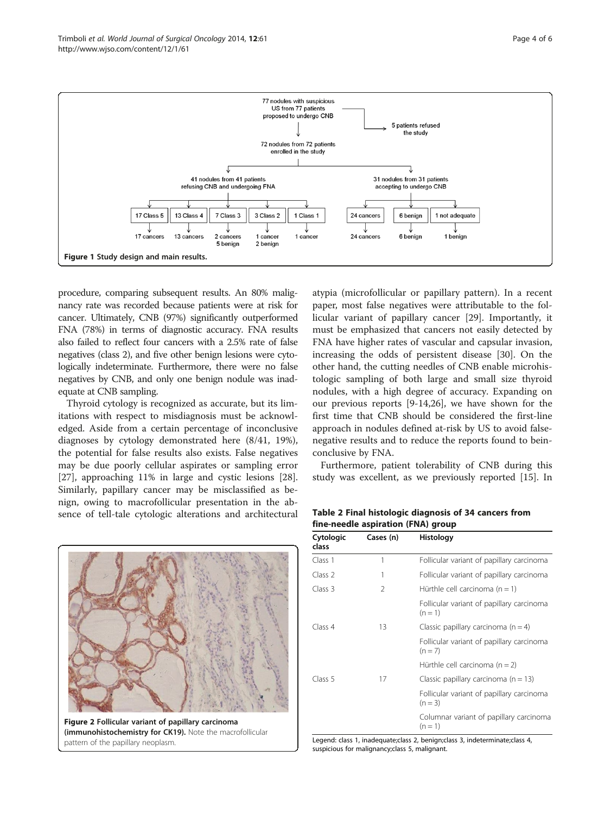<span id="page-3-0"></span>

procedure, comparing subsequent results. An 80% malignancy rate was recorded because patients were at risk for cancer. Ultimately, CNB (97%) significantly outperformed FNA (78%) in terms of diagnostic accuracy. FNA results also failed to reflect four cancers with a 2.5% rate of false negatives (class 2), and five other benign lesions were cytologically indeterminate. Furthermore, there were no false negatives by CNB, and only one benign nodule was inadequate at CNB sampling.

Thyroid cytology is recognized as accurate, but its limitations with respect to misdiagnosis must be acknowledged. Aside from a certain percentage of inconclusive diagnoses by cytology demonstrated here (8/41, 19%), the potential for false results also exists. False negatives may be due poorly cellular aspirates or sampling error [[27\]](#page-5-0), approaching 11% in large and cystic lesions [\[28](#page-5-0)]. Similarly, papillary cancer may be misclassified as benign, owing to macrofollicular presentation in the absence of tell-tale cytologic alterations and architectural



(immunohistochemistry for CK19). Note the macrofollicular pattern of the papillary neoplasm.

atypia (microfollicular or papillary pattern). In a recent paper, most false negatives were attributable to the follicular variant of papillary cancer [[29\]](#page-5-0). Importantly, it must be emphasized that cancers not easily detected by FNA have higher rates of vascular and capsular invasion, increasing the odds of persistent disease [[30](#page-5-0)]. On the other hand, the cutting needles of CNB enable microhistologic sampling of both large and small size thyroid nodules, with a high degree of accuracy. Expanding on our previous reports [\[9](#page-4-0)-[14,](#page-4-0)[26\]](#page-5-0), we have shown for the first time that CNB should be considered the first-line approach in nodules defined at-risk by US to avoid falsenegative results and to reduce the reports found to beinconclusive by FNA.

Furthermore, patient tolerability of CNB during this study was excellent, as we previously reported [\[15](#page-4-0)]. In

Table 2 Final histologic diagnosis of 34 cancers from fine-needle aspiration (FNA) group

| Cytologic<br>class | Cases (n) | Histology                                              |
|--------------------|-----------|--------------------------------------------------------|
| Class 1            | 1         | Follicular variant of papillary carcinoma              |
| Class 2            | 1         | Follicular variant of papillary carcinoma              |
| Class 3            | 2         | Hürthle cell carcinoma $(n = 1)$                       |
|                    |           | Follicular variant of papillary carcinoma<br>$(n = 1)$ |
| Class 4            | 13        | Classic papillary carcinoma $(n = 4)$                  |
|                    |           | Follicular variant of papillary carcinoma<br>$(n = 7)$ |
|                    |           | Hürthle cell carcinoma ( $n = 2$ )                     |
| Class 5            | 17        | Classic papillary carcinoma ( $n = 13$ )               |
|                    |           | Follicular variant of papillary carcinoma<br>$(n = 3)$ |
|                    |           | Columnar variant of papillary carcinoma<br>$(n = 1)$   |

Legend: class 1, inadequate;class 2, benign;class 3, indeterminate;class 4, suspicious for malignancy;class 5, malignant.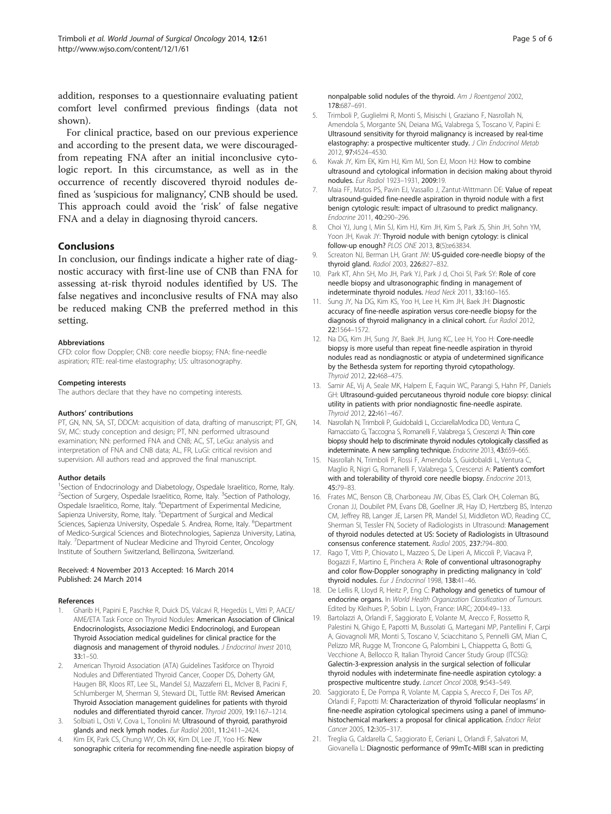<span id="page-4-0"></span>addition, responses to a questionnaire evaluating patient comfort level confirmed previous findings (data not shown).

For clinical practice, based on our previous experience and according to the present data, we were discouragedfrom repeating FNA after an initial inconclusive cytologic report. In this circumstance, as well as in the occurrence of recently discovered thyroid nodules defined as 'suspicious for malignancy', CNB should be used. This approach could avoid the 'risk' of false negative FNA and a delay in diagnosing thyroid cancers.

# **Conclusions**

In conclusion, our findings indicate a higher rate of diagnostic accuracy with first-line use of CNB than FNA for assessing at-risk thyroid nodules identified by US. The false negatives and inconclusive results of FNA may also be reduced making CNB the preferred method in this setting.

#### Abbreviations

CFD: color flow Doppler; CNB: core needle biopsy; FNA: fine-needle aspiration; RTE: real-time elastography; US: ultrasonography.

#### Competing interests

The authors declare that they have no competing interests.

#### Authors' contributions

PT, GN, NN, SA, ST, DDCM: acquisition of data, drafting of manuscript; PT, GN, SV, MC: study conception and design; PT, NN: performed ultrasound examination; NN: performed FNA and CNB; AC, ST, LeGu: analysis and interpretation of FNA and CNB data; AL, FR, LuGi: critical revision and supervision. All authors read and approved the final manuscript.

#### Author details

<sup>1</sup>Section of Endocrinology and Diabetology, Ospedale Israelitico, Rome, Italy. <sup>2</sup>Section of Surgery, Ospedale Israelitico, Rome, Italy. <sup>3</sup>Section of Pathology, Ospedale Israelitico, Rome, Italy. <sup>4</sup>Department of Experimental Medicine, Sapienza University, Rome, Italy. <sup>5</sup>Department of Surgical and Medical Sciences, Sapienza University, Ospedale S. Andrea, Rome, Italy. <sup>6</sup>Department of Medico-Surgical Sciences and Biotechnologies, Sapienza University, Latina, Italy. <sup>7</sup>Department of Nuclear Medicine and Thyroid Center, Oncology Institute of Southern Switzerland, Bellinzona, Switzerland.

#### Received: 4 November 2013 Accepted: 16 March 2014 Published: 24 March 2014

#### References

- 1. Gharib H, Papini E, Paschke R, Duick DS, Valcavi R, Hegedüs L, Vitti P, AACE/ AME/ETA Task Force on Thyroid Nodules: American Association of Clinical Endocrinologists, Associazione Medici Endocrinologi, and European Thyroid Association medical guidelines for clinical practice for the diagnosis and management of thyroid nodules. J Endocrinol Invest 2010, 33:1–50.
- 2. American Thyroid Association (ATA) Guidelines Taskforce on Thyroid Nodules and Differentiated Thyroid Cancer, Cooper DS, Doherty GM, Haugen BR, Kloos RT, Lee SL, Mandel SJ, Mazzaferri EL, McIver B, Pacini F, Schlumberger M, Sherman SI, Steward DL, Tuttle RM: Revised American Thyroid Association management guidelines for patients with thyroid nodules and differentiated thyroid cancer. Thyroid 2009, 19:1167–1214.
- Solbiati L, Osti V, Cova L, Tonolini M: Ultrasound of thyroid, parathyroid glands and neck lymph nodes. Eur Radiol 2001, 11:2411–2424.
- 4. Kim EK, Park CS, Chung WY, Oh KK, Kim DI, Lee JT, Yoo HS: New sonographic criteria for recommending fine-needle aspiration biopsy of

nonpalpable solid nodules of the thyroid. Am J Roentgenol 2002, 178:687–691.

- 5. Trimboli P, Guglielmi R, Monti S, Misischi I, Graziano F, Nasrollah N, Amendola S, Morgante SN, Deiana MG, Valabrega S, Toscano V, Papini E: Ultrasound sensitivity for thyroid malignancy is increased by real-time elastography: a prospective multicenter study. J Clin Endocrinol Metab 2012, 97:4524–4530.
- 6. Kwak JY, Kim EK, Kim HJ, Kim MJ, Son EJ, Moon HJ: How to combine ultrasound and cytological information in decision making about thyroid nodules. Eur Radiol 1923–1931, 2009:19.
- Maia FF, Matos PS, Pavin EJ, Vassallo J, Zantut-Wittmann DE: Value of repeat ultrasound-guided fine-needle aspiration in thyroid nodule with a first benign cytologic result: impact of ultrasound to predict malignancy. Endocrine 2011, 40:290–296.
- 8. Choi YJ, Jung I, Min SJ, Kim HJ, Kim JH, Kim S, Park JS, Shin JH, Sohn YM, Yoon JH, Kwak JY: Thyroid nodule with benign cytology: is clinical follow-up enough? PLOS ONE 2013, 8(5):e63834.
- Screaton NJ, Berman LH, Grant JW: US-guided core-needle biopsy of the thyroid gland. Radiol 2003, 226:827–832.
- 10. Park KT, Ahn SH, Mo JH, Park YJ, Park J d, Choi SI, Park SY: Role of core needle biopsy and ultrasonographic finding in management of indeterminate thyroid nodules. Head Neck 2011, 33:160–165.
- 11. Sung JY, Na DG, Kim KS, Yoo H, Lee H, Kim JH, Baek JH: Diagnostic accuracy of fine-needle aspiration versus core-needle biopsy for the diagnosis of thyroid malignancy in a clinical cohort. Eur Radiol 2012, 22:1564–1572.
- 12. Na DG, Kim JH, Sung JY, Baek JH, Jung KC, Lee H, Yoo H: Core-needle biopsy is more useful than repeat fine-needle aspiration in thyroid nodules read as nondiagnostic or atypia of undetermined significance by the Bethesda system for reporting thyroid cytopathology. Thyroid 2012, 22:468–475.
- 13. Samir AE, Vij A, Seale MK, Halpern E, Faquin WC, Parangi S, Hahn PF, Daniels GH: Ultrasound-guided percutaneous thyroid nodule core biopsy: clinical utility in patients with prior nondiagnostic fine-needle aspirate. Thyroid 2012 22:461-467
- 14. Nasrollah N, Trimboli P, Guidobaldi L, CicciarellaModica DD, Ventura C, Ramacciato G, Taccogna S, Romanelli F, Valabrega S, Crescenzi A: Thin core biopsy should help to discriminate thyroid nodules cytologically classified as indeterminate. A new sampling technique. Endocrine 2013, 43:659–665.
- 15. Nasrollah N, Trimboli P, Rossi F, Amendola S, Guidobaldi L, Ventura C, Maglio R, Nigri G, Romanelli F, Valabrega S, Crescenzi A: Patient's comfort with and tolerability of thyroid core needle biopsy. Endocrine 2013, 45:79–83.
- 16. Frates MC, Benson CB, Charboneau JW, Cibas ES, Clark OH, Coleman BG, Cronan JJ, Doubilet PM, Evans DB, Goellner JR, Hay ID, Hertzberg BS, Intenzo CM, Jeffrey RB, Langer JE, Larsen PR, Mandel SJ, Middleton WD, Reading CC, Sherman SI, Tessler FN, Society of Radiologists in Ultrasound: Management of thyroid nodules detected at US: Society of Radiologists in Ultrasound consensus conference statement. Radiol 2005, 237:794–800.
- 17. Rago T, Vitti P, Chiovato L, Mazzeo S, De Liperi A, Miccoli P, Viacava P Bogazzi F, Martino E, Pinchera A: Role of conventional ultrasonography and color flow-Doppler sonography in predicting malignancy in 'cold' thyroid nodules. Eur J Endocrinol 1998, 138:41-46.
- 18. De Lellis R, Lloyd R, Heitz P, Eng C: Pathology and genetics of tumour of endocrine organs. In World Health Organization Classification of Tumours. Edited by Kleihues P, Sobin L. Lyon, France: IARC; 2004:49–133.
- 19. Bartolazzi A, Orlandi F, Saggiorato E, Volante M, Arecco F, Rossetto R, Palestini N, Ghigo E, Papotti M, Bussolati G, Martegani MP, Pantellini F, Carpi A, Giovagnoli MR, Monti S, Toscano V, Sciacchitano S, Pennelli GM, Mian C, Pelizzo MR, Rugge M, Troncone G, Palombini L, Chiappetta G, Botti G, Vecchione A, Bellocco R, Italian Thyroid Cancer Study Group (ITCSG): Galectin-3-expression analysis in the surgical selection of follicular thyroid nodules with indeterminate fine-needle aspiration cytology: a prospective multicentre study. Lancet Oncol 2008, 9:543–549.
- 20. Saggiorato E, De Pompa R, Volante M, Cappia S, Arecco F, Dei Tos AP, Orlandi F, Papotti M: Characterization of thyroid 'follicular neoplasms' in fine-needle aspiration cytological specimens using a panel of immunohistochemical markers: a proposal for clinical application. Endocr Relat Cancer 2005, 12:305–317.
- 21. Treglia G, Caldarella C, Saggiorato E, Ceriani L, Orlandi F, Salvatori M, Giovanella L: Diagnostic performance of 99mTc-MIBI scan in predicting